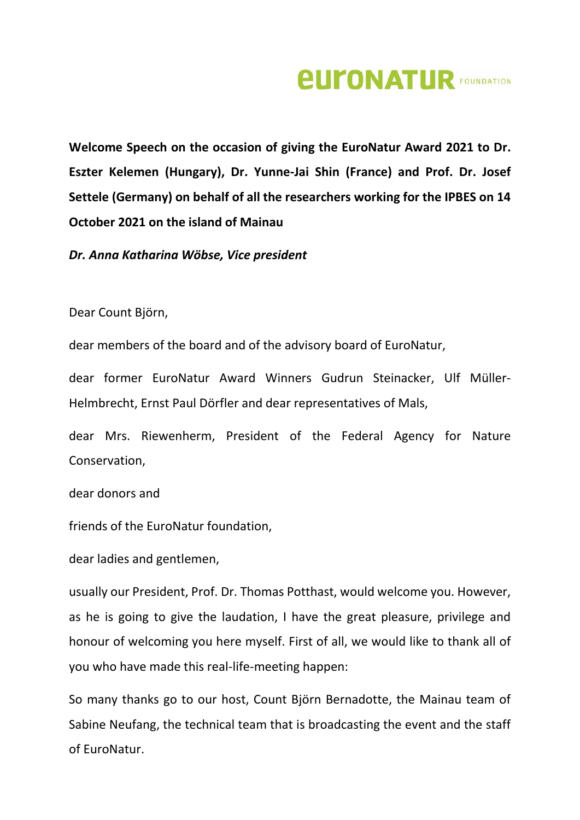## *<u>EUFONATUR FOUNDATION</u>*

**Welcome Speech on the occasion of giving the EuroNatur Award 2021 to Dr. Eszter Kelemen (Hungary), Dr. Yunne-Jai Shin (France) and Prof. Dr. Josef Settele (Germany) on behalf of all the researchers working for the IPBES on 14 October 2021 on the island of Mainau**

*Dr. Anna Katharina Wöbse, Vice president*

Dear Count Björn,

dear members of the board and of the advisory board of EuroNatur,

dear former EuroNatur Award Winners Gudrun Steinacker, Ulf Müller-Helmbrecht, Ernst Paul Dörfler and dear representatives of Mals,

dear Mrs. Riewenherm, President of the Federal Agency for Nature Conservation,

dear donors and

friends of the EuroNatur foundation,

dear ladies and gentlemen,

usually our President, Prof. Dr. Thomas Potthast, would welcome you. However, as he is going to give the laudation, I have the great pleasure, privilege and honour of welcoming you here myself. First of all, we would like to thank all of you who have made this real-life-meeting happen:

So many thanks go to our host, Count Björn Bernadotte, the Mainau team of Sabine Neufang, the technical team that is broadcasting the event and the staff of EuroNatur.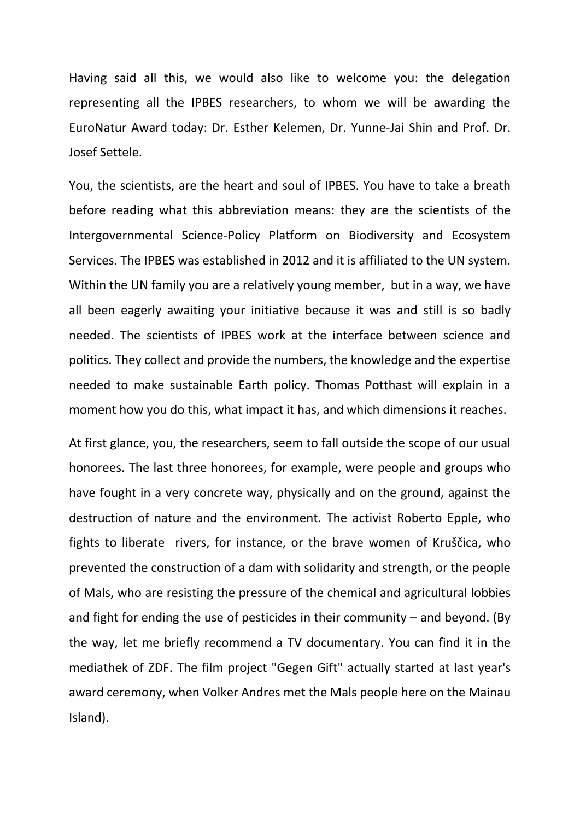Having said all this, we would also like to welcome you: the delegation representing all the IPBES researchers, to whom we will be awarding the EuroNatur Award today: Dr. Esther Kelemen, Dr. Yunne-Jai Shin and Prof. Dr. Josef Settele.

You, the scientists, are the heart and soul of IPBES. You have to take a breath before reading what this abbreviation means: they are the scientists of the Intergovernmental Science-Policy Platform on Biodiversity and Ecosystem Services. The IPBES was established in 2012 and it is affiliated to the UN system. Within the UN family you are a relatively young member, but in a way, we have all been eagerly awaiting your initiative because it was and still is so badly needed. The scientists of IPBES work at the interface between science and politics. They collect and provide the numbers, the knowledge and the expertise needed to make sustainable Earth policy. Thomas Potthast will explain in a moment how you do this, what impact it has, and which dimensions it reaches.

At first glance, you, the researchers, seem to fall outside the scope of our usual honorees. The last three honorees, for example, were people and groups who have fought in a very concrete way, physically and on the ground, against the destruction of nature and the environment. The activist Roberto Epple, who fights to liberate rivers, for instance, or the brave women of Kruščica, who prevented the construction of a dam with solidarity and strength, or the people of Mals, who are resisting the pressure of the chemical and agricultural lobbies and fight for ending the use of pesticides in their community  $-$  and beyond. (By the way, let me briefly recommend a TV documentary. You can find it in the mediathek of ZDF. The film project "Gegen Gift" actually started at last year's award ceremony, when Volker Andres met the Mals people here on the Mainau Island).